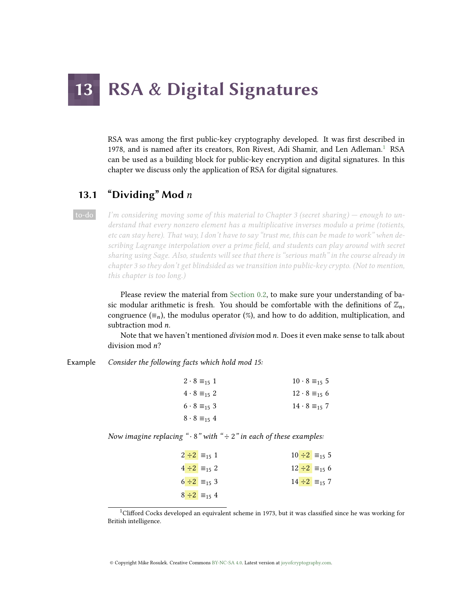# **RSA & Digital Signatures**

RSA was among the first public-key cryptography developed. It was first described in [1](#page-0-0)978, and is named after its creators, Ron Rivest, Adi Shamir, and Len Adleman.<sup>1</sup> RSA can be used as a building block for public-key encryption and digital signatures. In this chapter we discuss only the application of RSA for digital signatures.

# 13.1 "Dividing" Mod  $n$

to-do I'm considering moving some of this material to Chapter 3 (secret sharing) — enough to understand that every nonzero element has a multiplicative inverses modulo a prime (totients, etc can stay here). That way, I don't have to say "trust me, this can be made to work" when describing Lagrange interpolation over a prime field, and students can play around with secret sharing using Sage. Also, students will see that there is "serious math" in the course already in chapter 3 so they don't get blindsided as we transition into public-key crypto. (Not to mention, this chapter is too long.)

> Please review the material from [Section 0.2,](#page--1-0) to make sure your understanding of basic modular arithmetic is fresh. You should be comfortable with the definitions of  $\mathbb{Z}_n$ , congruence ( $\equiv_n$ ), the modulus operator (%), and how to do addition, multiplication, and subtraction mod *n*.

> Note that we haven't mentioned *division* mod  $n$ . Does it even make sense to talk about division mod n?

Example Consider the following facts which hold mod 15:

| $2 \cdot 8 \equiv_{15} 1$ | $10 \cdot 8 \equiv_{15} 5$ |
|---------------------------|----------------------------|
| $4 \cdot 8 \equiv_{15} 2$ | $12 \cdot 8 \equiv_{15} 6$ |
| $6 \cdot 8 \equiv_{15} 3$ | $14 \cdot 8 \equiv_{15} 7$ |
| $8 \cdot 8 \equiv_{15} 4$ |                            |

Now imagine replacing " $\cdot$  8" with " $\div$  2" in each of these examples:

| $2 \div 2 \equiv_{15} 1$ | $10 \div 2 =_{15} 5$      |
|--------------------------|---------------------------|
| $4 \div 2 \equiv_{15} 2$ | $12 \div 2 \equiv_{15} 6$ |
| $6 \div 2 \equiv_{15} 3$ | $14 \div 2 =_{15} 7$      |
| $8 \div 2 \equiv_{15} 4$ |                           |

<span id="page-0-0"></span><sup>&</sup>lt;sup>1</sup>Clifford Cocks developed an equivalent scheme in 1973, but it was classified since he was working for British intelligence.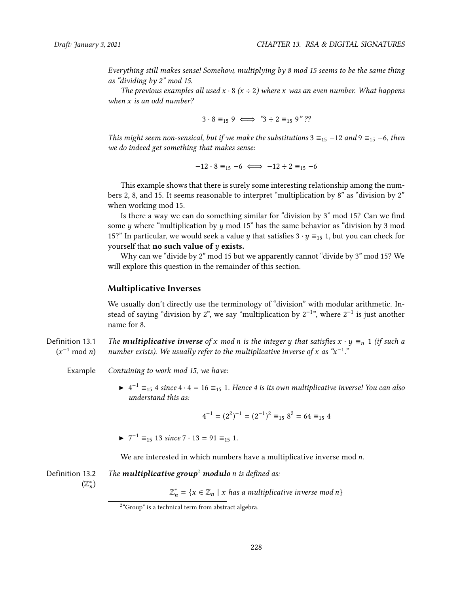Everything still makes sense! Somehow, multiplying by 8 mod 15 seems to be the same thing as "dividing by 2" mod 15.

The previous examples all used  $x \cdot 8$  ( $x \div 2$ ) where x was an even number. What happens when x is an odd number?

 $3 \cdot 8 \equiv_{15} 9 \iff 3 \div 2 \equiv_{15} 9$ "??

This might seem non-sensical, but if we make the substitutions  $3 \equiv_{15} -12$  and  $9 \equiv_{15} -6$ , then we do indeed get something that makes sense:

 $-12 \cdot 8 \equiv_{15} -6 \iff -12 \div 2 \equiv_{15} -6$ 

This example shows that there is surely some interesting relationship among the numbers 2, 8, and 15. It seems reasonable to interpret "multiplication by 8" as "division by 2" when working mod 15.

Is there a way we can do something similar for "division by  $3$ " mod  $15$ ? Can we find some y where "multiplication by y mod 15" has the same behavior as "division by 3 mod 15?" In particular, we would seek a value y that satisfies  $3 \cdot y \equiv_{15} 1$ , but you can check for yourself that **no such value of**  $y$  **exists.** 

Why can we "divide by 2" mod 15 but we apparently cannot "divide by 3" mod 15? We will explore this question in the remainder of this section.

#### Multiplicative Inverses

We usually don't directly use the terminology of "division" with modular arithmetic. Instead of saying "division by 2", we say "multiplication by  $2^{-1}$ ", where  $2^{-1}$  is just another name for 8.

Definition 13.1  $(x^{-1} \mod n)$ The **multiplicative inverse** of x mod n is the integer y that satisfies  $x \cdot y \equiv_n 1$  (if such a number exists). We usually refer to the multiplicative inverse of x as " $x^{-1}$ ."

Example Contuining to work mod 15, we have:

 $\blacktriangleright$  4<sup>-1</sup>  $\equiv$ <sub>15</sub> 4 since 4 · 4 = 16  $\equiv$ <sub>15</sub> 1. Hence 4 is its own multiplicative inverse! You can also understand this as:

$$
4^{-1} = (2^2)^{-1} = (2^{-1})^2 \equiv_{15} 8^2 = 64 \equiv_{15} 4
$$

 $\blacktriangleright$  7<sup>-1</sup>  $\equiv_{15}$  13 since 7 · 13 = 91  $\equiv_{15}$  1.

We are interested in which numbers have a multiplicative inverse mod n.

Definition 13.2  $(\mathbb{Z}_{n}^{*})$ The **multiplicative group<sup>[2](#page-1-0)</sup>** modulo *n* is defined as:

 $\mathbb{Z}_n^* = \{x \in \mathbb{Z}_n \mid x \text{ has a multiplicative inverse mod } n\}$ 

<span id="page-1-0"></span> $2^{\circ}$ Group" is a technical term from abstract algebra.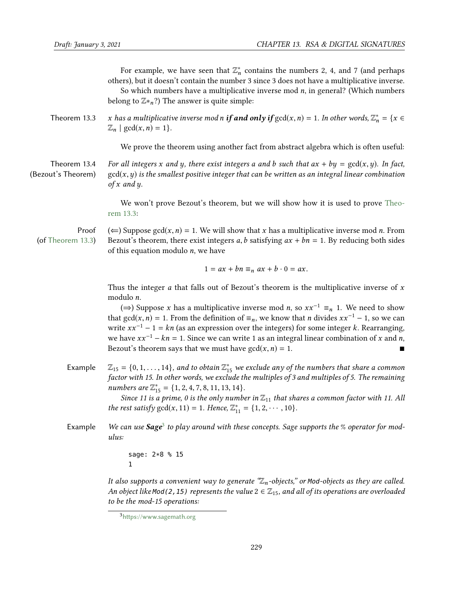For example, we have seen that  $\mathbb{Z}_n^*$  contains the numbers 2, 4, and 7 (and perhaps n others), but it doesn't contain the number 3 since 3 does not have a multiplicative inverse. So which numbers have a multiplicative inverse mod  $n$ , in general? (Which numbers belong to  $\mathbb{Z}*_n$ ?) The answer is quite simple:

Theorem 13.3 x has a multiplicative inverse mod n **if and only if**  $gcd(x, n) = 1$ . In other words,  $\mathbb{Z}_n^* = \{x \in \mathbb{Z} \mid \gcd(x, n) = 1\}$  $\mathbb{Z}_n$  | gcd(x, n) = 1}.

<span id="page-2-0"></span>We prove the theorem using another fact from abstract algebra which is often useful:

Theorem 13.4 (Bezout's Theorem) For all integers x and y, there exist integers a and b such that  $ax + by = \text{gcd}(x, y)$ . In fact,  $gcd(x, y)$  is the smallest positive integer that can be written as an integral linear combination of  $x$  and  $y$ .

> We won't prove Bezout's theorem, but we will show how it is used to prove [Theo](#page-2-0)[rem 13.3:](#page-2-0)

Proof (of [Theorem 13.3\)](#page-2-0) (←) Suppose gcd(x, n) = 1. We will show that x has a multiplicative inverse mod n. From Bezout's theorem, there exist integers a, b satisfying  $ax + bn = 1$ . By reducing both sides of this equation modulo  $n$ , we have

$$
1 = ax + bn \equiv_n ax + b \cdot 0 = ax.
$$

Thus the integer *a* that falls out of Bezout's theorem is the multiplicative inverse of  $x$ modulo n.

(⇒) Suppose x has a multiplicative inverse mod n, so  $xx^{-1} \equiv_n 1$ . We need to show that gcd(x, n) = 1. From the definition of  $\equiv_n$ , we know that n divides xx<sup>-1</sup> − 1, so we can write  $xx^{-1} - 1 = kn$  (as an expression over the integers) for some integer k. Rearranging, we have  $xx^{-1} - kn = 1$ . Since we can write 1 as an integral linear combination of x and n,<br>Bezout's theorem savs that we must have  $gcd(x, n) = 1$ . Bezout's theorem says that we must have  $gcd(x, n) = 1$ .

Example  $\mathbb{Z}_{15} = \{0, 1, \ldots, 14\}$ , and to obtain  $\mathbb{Z}_{15}^*$  we exclude any of the numbers that share a common factor with 15 In other words, we exclude the multiples of 3 and multiples of 5. The remaining factor with 15. In other words, we exclude the multiples of 3 and multiples of 5. The remaining numbers are  $\mathbb{Z}_{15}^* = \{1, 2, 4, 7, 8, 11, 13, 14\}$ .<br>Since 11 is a prime, 0 is the only number

Since 11 is a prime, 0 is the only number in  $\mathbb{Z}_{11}$  that shares a common factor with 11. All the rest satisfy  $gcd(x, 11) = 1$ . Hence,  $\mathbb{Z}_{11}^* = \{1, 2, \cdots, 10\}$ .

Example We can use **Sage**<sup>[3](#page-2-1)</sup> to play around with these concepts. Sage supports the % operator for modulus:

> sage: 2\*8 % 15 1

It also supports a convenient way to generate  $\mathscr{Z}_n$ -objects," or Mod-objects as they are called. An object like Mod(2, 15) represents the value  $2 \in \mathbb{Z}_{15}$ , and all of its operations are overloaded to be the mod-15 operations:

<span id="page-2-1"></span> $3$ https://www.sagemath.org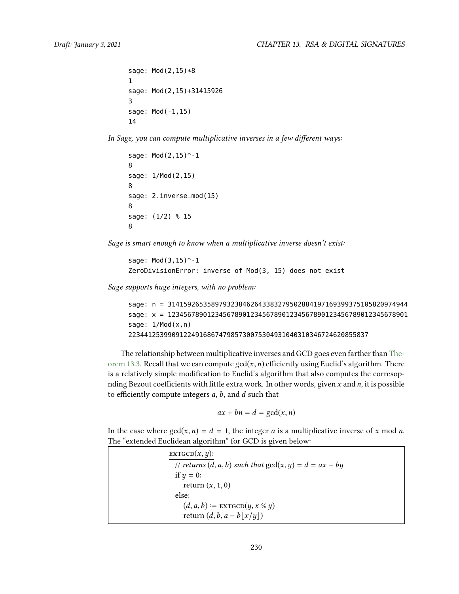```
sage: Mod(2,15)*8
1
sage: Mod(2,15)+31415926
3
sage: Mod(-1,15)
14
```
In Sage, you can compute multiplicative inverses in a few different ways:

```
sage: Mod(2,15)^-1
8
sage: 1/Mod(2,15)
8
sage: 2.inverse_mod(15)
8
sage: (1/2) % 15
8
```
Sage is smart enough to know when a multiplicative inverse doesn't exist:

```
sage: Mod(3,15)^-1
ZeroDivisionError: inverse of Mod(3, 15) does not exist
```
Sage supports huge integers, with no problem:

```
sage: n = 3141592653589793238462643383279502884197169399375105820974944
sage: x = 1234567890123456789012345678901234567890123456789012345678901
sage: 1/Mod(x,n)2234412539909122491686747985730075304931040310346724620855837
```
The relationship between multiplicative inverses and GCD goes even farther than [The](#page-2-0)[orem 13.3.](#page-2-0) Recall that we can compute  $gcd(x, n)$  efficiently using Euclid's algorithm. There is a relatively simple modification to Euclid's algorithm that also computes the corresopnding Bezout coefficients with little extra work. In other words, given x and  $n$ , it is possible to efficiently compute integers  $a, b$ , and  $d$  such that

$$
ax + bn = d = \gcd(x, n)
$$

In the case where  $gcd(x, n) = d = 1$ , the integer a is a multiplicative inverse of x mod n. The "extended Euclidean algorithm" for GCD is given below:

 $ext{EGCD}(x, y)$ : // returns  $(d, a, b)$  such that  $gcd(x, y) = d = ax + by$ if  $y = 0$ : return  $(x, 1, 0)$ else:  $(d, a, b) \coloneqq \text{EXTGCD}(y, x \mathcal{C} y)$ return  $(d, b, a - b \lfloor x/y \rfloor)$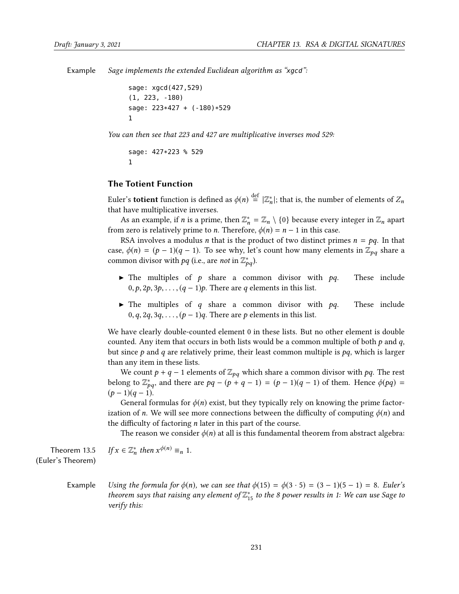Example Sage implements the extended Euclidean algorithm as "xgcd":

sage: xgcd(427,529) (1, 223, -180) sage: 223\*427 + (-180)\*529 1

You can then see that 223 and 427 are multiplicative inverses mod 529:

sage: 427\*223 % 529 1

#### The Totient Function

Euler's **totient** function is defined as  $\phi(n) \stackrel{\text{def}}{=} |\mathbb{Z}_n^*|$ ; that is, the number of elements of  $\mathbb{Z}_n$  that have multiplicative inverses that have multiplicative inverses.

As an example, if *n* is a prime, then  $\mathbb{Z}_n^* = \mathbb{Z}_n \setminus \{0\}$  because every integer in  $\mathbb{Z}_n$  apart  $\mathbb{Z}_n$  apart  $\mathbb{Z}_n$  apart is relatively prime to *n*. Therefore,  $\phi(n) = n - 1$  in this case. from zero is relatively prime to *n*. Therefore,  $\phi(n) = n - 1$  in this case.

RSA involves a modulus *n* that is the product of two distinct primes  $n = pq$ . In that case,  $\phi(n) = (p-1)(q-1)$ . To see why, let's count how many elements in  $\mathbb{Z}_{pq}$  share a common divisor with  $pq$  (i.e., are not in  $\mathbb{Z}_{pq}^*$ ).

- $\blacktriangleright$  The multiples of p share a common divisor with pq. These include  $0, p, 2p, 3p, \ldots, (q-1)p$ . There are q elements in this list.
- $\blacktriangleright$  The multiples of q share a common divisor with pq. These include 0, q, 2q, 3q, . . . ,  $(p-1)q$ . There are p elements in this list.

We have clearly double-counted element 0 in these lists. But no other element is double counted. Any item that occurs in both lists would be a common multiple of both  $p$  and  $q$ , but since  $p$  and  $q$  are relatively prime, their least common multiple is  $pq$ , which is larger than any item in these lists.

We count  $p + q - 1$  elements of  $\mathbb{Z}_{pq}$  which share a common divisor with pq. The rest belong to  $\mathbb{Z}_{pq}^*$ , and there are  $pq - (p + q - 1) = (p - 1)(q - 1)$  of them. Hence  $\phi(pq) = (p - 1)(q - 1)$  $(p-1)(q-1)$ .

General formulas for  $\phi(n)$  exist, but they typically rely on knowing the prime factorization of n. We will see more connections between the difficulty of computing  $\phi(n)$  and the difficulty of factoring  $n$  later in this part of the course.

The reason we consider  $\phi(n)$  at all is this fundamental theorem from abstract algebra:

Theorem 13.5 (Euler's Theorem)

```
If x \in \mathbb{Z}_n^* then x^{\phi(n)} \equiv_n 1.
```
Example Using the formula for  $\phi(n)$ , we can see that  $\phi(15) = \phi(3 \cdot 5) = (3 - 1)(5 - 1) = 8$ . Euler's theorem says that raising any element of  $\mathbb{Z}_{15}^{*}$  to the 8 power results in 1: We can use Sage to verify this: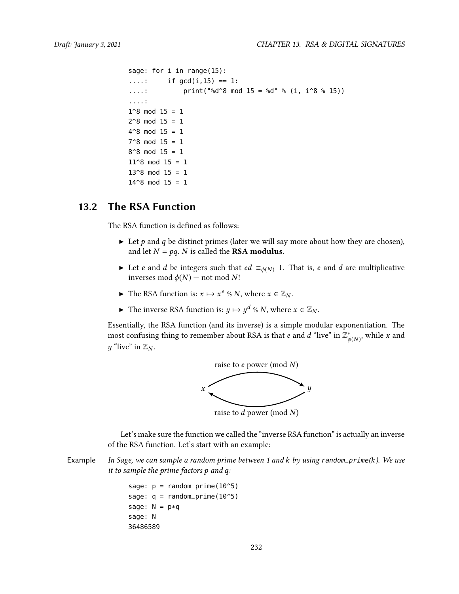```
sage: for i in range(15):
....: if gcd(i, 15) == 1:
....: \text{print}("ad^8d^8 \mod 15 = \text{6}d^6 \mod 15 = 15)....:
1^8 mod 15 = 12^8 mod 15 = 14^8 mod 15 = 17^8 mod 15 = 18^{\circ}8 mod 15 = 111^8 mod 15 = 113^8 mod 15 = 114^8 mod 15 = 1
```
# 13.2 The RSA Function

<span id="page-5-0"></span>The RSA function is defined as follows:

- In Let p and q be distinct primes (later we will say more about how they are chosen), and let  $N = pq$ . N is called the **RSA modulus**.
- ► Let *e* and *d* be integers such that  $ed \equiv_{\phi(N)} 1$ . That is, *e* and *d* are multiplicative inverses mod  $\phi(N)$  – not mod N!
- ► The RSA function is:  $x \mapsto x^e \% N$ , where  $x \in \mathbb{Z}_N$ .
- ► The inverse RSA function is:  $y \mapsto y^d \% N$ , where  $x \in \mathbb{Z}_N$ .

Essentially, the RSA function (and its inverse) is a simple modular exponentiation. The most confusing thing to remember about RSA is that *e* and *d* "live" in  $\mathbb{Z}_{\phi}^{*}$  $\phi(N)$ , while x and y "live" in  $\mathbb{Z}_N$ .



Let's make sure the function we called the "inverse RSA function" is actually an inverse of the RSA function. Let's start with an example:

Example In Sage, we can sample a random prime between 1 and k by using random\_prime(k). We use it to sample the prime factors p and q:

> sage:  $p = \text{random\_prime}(10^5)$ sage:  $q = \text{random\_prime}(10^5)$ sage:  $N = p * q$ sage: N 36486589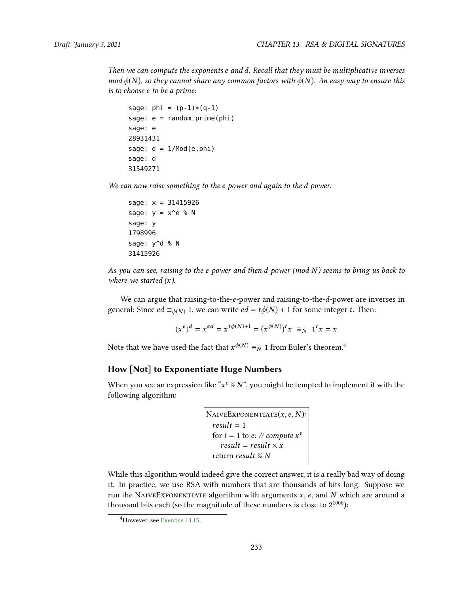Then we can compute the exponents e and d. Recall that they must be multiplicative inverses mod  $\phi(N)$ , so they cannot share any common factors with  $\phi(N)$ . An easy way to ensure this is to choose e to be a prime:

```
sage: phi = (p-1)*(q-1)sage: e = \text{random\_prime}(\text{phi})sage: e
28931431
sage: d = 1/Mod(e,phi)sage: d
31549271
```
We can now raise something to the e power and again to the d power:

sage: x = 31415926 sage:  $y = x^e \$  N sage: y 1798996 sage: y^d % N 31415926

As you can see, raising to the e power and then  $d$  power (mod  $N$ ) seems to bring us back to where we started  $(x)$ .

We can argue that raising-to-the-e-power and raising-to-the-d-power are inverses in general: Since  $ed \equiv_{\phi(N)} 1$ , we can write  $ed = t\phi(N) + 1$  for some integer t. Then:

$$
(x^{e})^{d} = x^{ed} = x^{t\phi(N)+1} = (x^{\phi(N)})^{t} x \equiv_{N} 1^{t} x = x
$$

Note that we have used the fact that  $x^{\phi(N)} \equiv_N 1$  from Euler's theorem.<sup>[4](#page-6-0)</sup>

#### How [Not] to Exponentiate Huge Numbers

When you see an expression like " $x^e \, \% \, N$ ", you might be tempted to implement it with the<br>following algorithm: following algorithm:

```
NAIVEEXPONENTIATE(x, e, N):
  result = 1for i = 1 to e: \mathbb{N} compute x^e<br>result = \text{result} \times xresult = result \times xreturn result % N
```
While this algorithm would indeed give the correct answer, it is a really bad way of doing it. In practice, we use RSA with numbers that are thousands of bits long. Suppose we run the NAIVEEXPONENTIATE algorithm with arguments  $x$ ,  $e$ , and  $N$  which are around a thousand bits each (so the magnitude of these numbers is close to  $2^{1000}$ ):

<span id="page-6-0"></span><sup>4</sup>However, see [Exercise 13.15.](#page-22-0)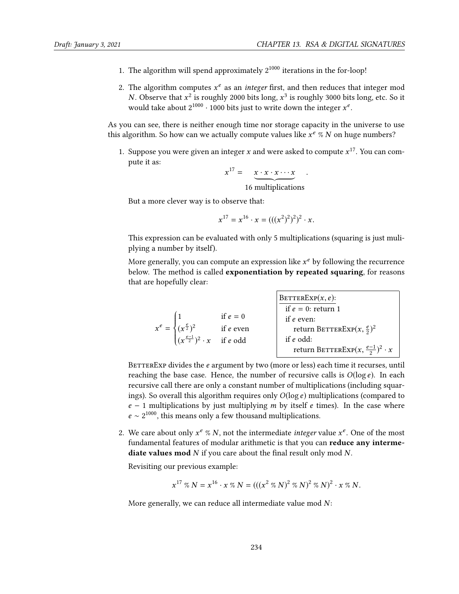- 1. The algorithm will spend approximately  $2^{1000}$  iterations in the for-loop!
- 2. The algorithm computes  $x^e$  as an *integer* first, and then reduces that integer mod<br>N. Observe that  $x^2$  is roughly 2000 bits long  $x^3$  is roughly 3000 bits long, etc. So it N. Observe that  $x^2$  is roughly 2000 bits long,  $x^3$  is roughly 3000 bits long, etc. So it would take about 2<sup>1000</sup> . 1000 bits just to write down the integer  $x^e$ would take about  $2^{1000} \cdot 1000$  bits just to write down the integer  $x^e$ .

As you can see, there is neither enough time nor storage capacity in the universe to use this algorithm. So how can we actually compute values like  $x^e \%$  N on huge numbers?

1. Suppose you were given an integer *x* and were asked to compute  $x^{17}$ . You can compute it as: pute it as:

$$
x^{17} = \underbrace{x \cdot x \cdot x \cdots x}_{16 \text{ multiplications}}
$$

But a more clever way is to observe that:

$$
x^{17} = x^{16} \cdot x = (((x^2)^2)^2)^2 \cdot x.
$$

This expression can be evaluated with only 5 multiplications (squaring is just muliplying a number by itself).

More generally, you can compute an expression like  $x^e$  by following the recurrence<br>below. The method is called **exponentiation by repeated squaring**, for reasons below. The method is called exponentiation by repeated squaring, for reasons that are hopefully clear:

$$
x^{e} = \begin{cases} 1 & \text{if } e = 0 \\ (x^{\frac{e}{2}})^{2} & \text{if } e \text{ even} \\ (x^{\frac{e-1}{2}})^{2} \cdot x & \text{if } e \text{ odd} \end{cases} \qquad \qquad \begin{matrix} \text{BETTERExp}(x, e): \\ \text{if } e = 0: \text{ return } 1 \\ \text{if } e \text{ even}: \\ \text{return BETTERExp}(x, \frac{e}{2})^{2} \cdot x \\ \text{return BETTERExp}(x, \frac{e-1}{2})^{2} \cdot x \end{matrix}
$$

BETTEREXP divides the e argument by two (more or less) each time it recurses, until reaching the base case. Hence, the number of recursive calls is  $O(\log e)$ . In each recursive call there are only a constant number of multiplications (including squarings). So overall this algorithm requires only  $O(\log e)$  multiplications (compared to  $e - 1$  multiplications by just multiplying m by itself e times). In the case where  $e \sim 2^{1000}$ , this means only a few thousand multiplications.

2. We care about only  $x^e \approx N$ , not the intermediate *integer* value  $x^e$ . One of the most fundamental features of modular arithmetic is that you can **reduce any interme**fundamental features of modular arithmetic is that you can reduce any intermediate values mod  $N$  if you care about the final result only mod  $N$ .

Revisiting our previous example:

$$
x^{17} \%\ N = x^{16} \cdot x \%\ N = (((x^2 \%\ N)^2 \%\ N)^2 \%\ N)^2 \cdot x \%\ N.
$$

More generally, we can reduce all intermediate value mod  $N$ :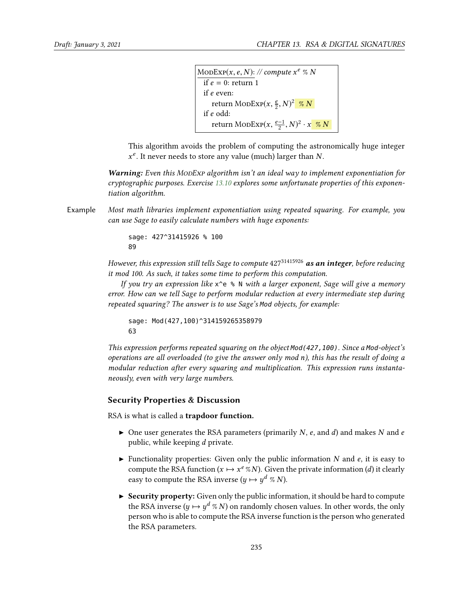MODEXP $(x, e, N)$ : // compute  $x^e \% N$ if  $e = 0$ : return 1 if e even: return ModExp $(x,\frac{e}{2},N)^2$  <mark>% N</mark><br>2 odd: if e odd: return ModExp $(x, \frac{e-1}{2}, N)^2 \cdot x$  % N

This algorithm avoids the problem of computing the astronomically huge integer  $x^e$ . It never needs to store any value (much) larger than N.

Warning: Even this MonExp algorithm isn't an ideal way to implement exponentiation for cryptographic purposes. Exercise [13.10](#page-21-0) explores some unfortunate properties of this exponentiation algorithm.

Example Most math libraries implement exponentiation using repeated squaring. For example, you can use Sage to easily calculate numbers with huge exponents:

> sage: 427^31415926 % 100 89

However, this expression still tells Sage to compute  $427^{31415926}$  as an integer, before reducing it mod 100. As such, it takes some time to perform this computation.

If you try an expression like  $x^e \in N$  with a larger exponent, Sage will give a memory error. How can we tell Sage to perform modular reduction at every intermediate step during repeated squaring? The answer is to use Sage's Mod objects, for example:

```
sage: Mod(427,100)^314159265358979
63
```
This expression performs repeated squaring on the object Mod(427,100). Since a Mod-object's operations are all overloaded (to give the answer only mod n), this has the result of doing a modular reduction after every squaring and multiplication. This expression runs instantaneously, even with very large numbers.

#### Security Properties & Discussion

RSA is what is called a trapdoor function.

- $\triangleright$  One user generates the RSA parameters (primarily N, e, and d) and makes N and e public, while keeping d private.
- In Functionality properties: Given only the public information N and e, it is easy to compute the RSA function  $(x \mapsto x^e \sqrt[n]{N})$ . Given the private information (*d*) it clearly easy to compute the RSA inverse  $(y \mapsto y^d \mathcal{R} N)$ .
- $\triangleright$  Security property: Given only the public information, it should be hard to compute the RSA inverse  $(y \mapsto y^d \otimes N)$  on randomly chosen values. In other words, the only<br>person who is able to compute the RSA inverse function is the person who generated person who is able to compute the RSA inverse function is the person who generated the RSA parameters.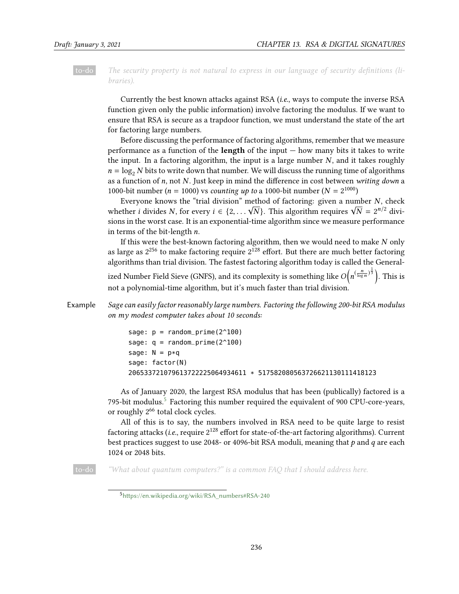to-do The security property is not natural to express in our language of security definitions (libraries).

Currently the best known attacks against RSA (i.e., ways to compute the inverse RSA function given only the public information) involve factoring the modulus. If we want to ensure that RSA is secure as a trapdoor function, we must understand the state of the art for factoring large numbers.

Before discussing the performance of factoring algorithms, remember that we measure performance as a function of the **length** of the input  $-$  how many bits it takes to write the input. In a factoring algorithm, the input is a large number  $N$ , and it takes roughly  $n = \log_2 N$  bits to write down that number. We will discuss the running time of algorithms as a function of  $n$ , not  $N$ . Just keep in mind the difference in cost between writing down a 1000-bit number ( $n = 1000$ ) vs counting up to a 1000-bit number ( $N = 2^{1000}$ )<br>Everyone knows the "trial division" method of foctoring: given a num

Everyone knows the "trial division" method of factoring: given a number  $N$ , check Everyone knows the trial division method of factoring: given a number N, check<br>whether *i* divides N, for every  $i \in \{2, ..., \sqrt{N}\}\$ . This algorithm requires  $\sqrt{N} = 2^{n/2}$  divi-<br>sions in the worst case. It is an exponential sions in the worst case. It is an exponential-time algorithm since we measure performance in terms of the bit-length n.

If this were the best-known factoring algorithm, then we would need to make  $N$  only as large as  $2^{256}$  to make factoring require  $2^{128}$  effort. But there are much better factoring algorithms than trial division. The fastest factoring algorithm today is called the Generalized Number Field Sieve (GNFS), and its complexity is something like  $O\left(\frac{1}{2}\right)$  $\frac{\left(n - \frac{n}{\log n}\right)^{\frac{1}{3}}}{\ln n}$ . This is not a polynomial-time algorithm, but it's much faster than trial division.

Example Sage can easily factor reasonably large numbers. Factoring the following 200-bit RSA modulus on my modest computer takes about 10 seconds:

```
sage: p = \text{random\_prime}(2^100)sage: q = \text{random\_prime}(2^100)sage: N = p * qsage: factor(N)
206533721079613722225064934611 * 517582080563726621130111418123
```
As of January 2020, the largest RSA modulus that has been (publically) factored is a 79[5](#page-9-0)-bit modulus.<sup>5</sup> Factoring this number required the equivalent of 900 CPU-core-years, or roughly 2<sup>66</sup> total clock cycles.

All of this is to say, the numbers involved in RSA need to be quite large to resist factoring attacks (i.e., require  $2^{128}$  effort for state-of-the-art factoring algorithms). Current best practices suggest to use 2048- or 4096-bit RSA moduli, meaning that  $p$  and  $q$  are each 1024 or 2048 bits.

to-do "What about quantum computers?" is a common FAQ that I should address here.

<span id="page-9-0"></span><sup>5</sup>https://en.wikipedia.org/wiki/RSA\_numbers#RSA-240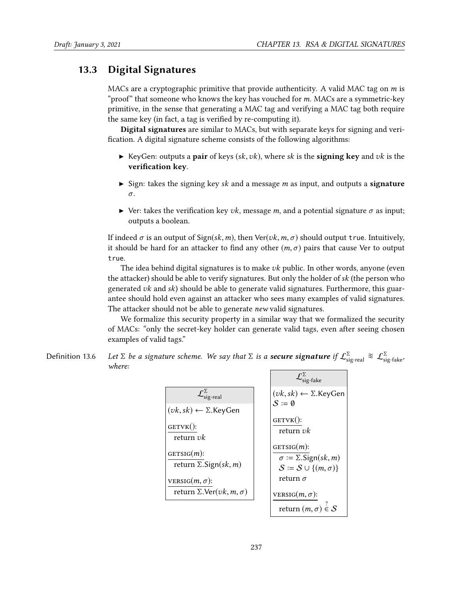# 13.3 Digital Signatures

MACs are a cryptographic primitive that provide authenticity. A valid MAC tag on  $m$  is "proof" that someone who knows the key has vouched for m. MACs are a symmetric-key primitive, in the sense that generating a MAC tag and verifying a MAC tag both require the same key (in fact, a tag is verified by re-computing it).

Digital signatures are similar to MACs, but with separate keys for signing and veri fication. A digital signature scheme consists of the following algorithms:

- ExeyGen: outputs a pair of keys (sk, vk), where sk is the signing key and vk is the verification key.
- $\triangleright$  Sign: takes the signing key sk and a message m as input, and outputs a **signature** σ.
- $\triangleright$  Ver: takes the verification key vk, message m, and a potential signature  $\sigma$  as input; outputs a boolean.

If indeed  $\sigma$  is an output of Sign(sk, m), then Ver(vk, m,  $\sigma$ ) should output true. Intuitively, it should be hard for an attacker to find any other  $(m, \sigma)$  pairs that cause Ver to output true.

The idea behind digital signatures is to make  $vk$  public. In other words, anyone (even the attacker) should be able to verify signatures. But only the holder of  $sk$  (the person who generated  $vk$  and  $sk$ ) should be able to generate valid signatures. Furthermore, this guarantee should hold even against an attacker who sees many examples of valid signatures. The attacker should not be able to generate new valid signatures.

We formalize this security property in a similar way that we formalized the security of MACs: "only the secret-key holder can generate valid tags, even after seeing chosen examples of valid tags."

Definition 13.6 Let  $\Sigma$  be a signature scheme. We say that  $\Sigma$  is a **secure signature** if  $\mathcal{L}^{\Sigma}_{\text{sig-real}} \approx \mathcal{L}^{\Sigma}_{\text{sig-fake}}$ . where:  $\sqrt{\sum}$ 

|                                                                                    | $L_{sig\text{-}fake}$                                                                                          |
|------------------------------------------------------------------------------------|----------------------------------------------------------------------------------------------------------------|
| $\mathcal{L}^{\Sigma}_{\mathrm{sig\text{-}real}}$                                  | $(vk, sk) \leftarrow \Sigma$ . Key Gen<br>$S := \emptyset$                                                     |
| $(vk, sk) \leftarrow \Sigma$ . Key Gen                                             |                                                                                                                |
| GETVK():<br>return $vk$                                                            | $GETVK()$ :<br>return $vk$                                                                                     |
| GETSIG(m):<br>return $\Sigma$ . Sign(sk, m)                                        | GETSIG $(m)$ :<br>$\sigma \coloneqq \Sigma$ . Sign(sk, m)<br>$S := S \cup \{(m, \sigma)\}\$<br>return $\sigma$ |
| VERSIG $(m, \sigma)$ :<br>return $\Sigma$ . Ver( <i>vk</i> , <i>m</i> , $\sigma$ ) | VERSIG $(m, \sigma)$ :                                                                                         |
|                                                                                    | return $(m, \sigma) \in S$                                                                                     |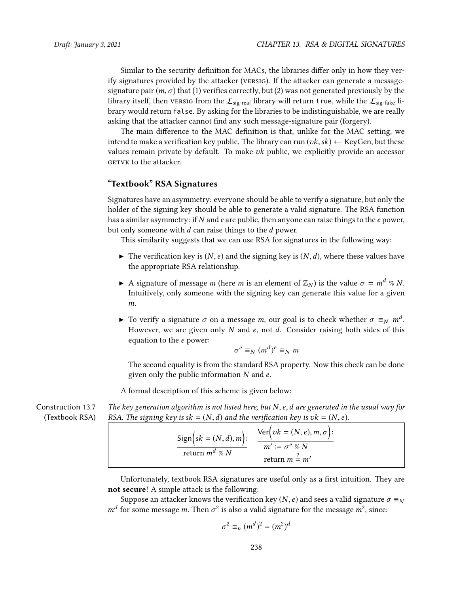Similar to the security definition for MACs, the libraries differ only in how they verify signatures provided by the attacker (versig). If the attacker can generate a messagesignature pair  $(m, \sigma)$  that (1) verifies correctly, but (2) was not generated previously by the library itself, then versig from the  $\mathcal{L}_{sig-real}$  library will return true, while the  $\mathcal{L}_{sig-fake}$  library would return false. By asking for the libraries to be indistinguishable, we are really asking that the attacker cannot find any such message-signature pair (forgery).

The main difference to the MAC definition is that, unlike for the MAC setting, we intend to make a verification key public. The library can run  $(vk, sk) \leftarrow$  KeyGen, but these values remain private by default. To make  $vk$  public, we explicitly provide an accessor GETVK to the attacker.

### "Textbook" RSA Signatures

Signatures have an asymmetry: everyone should be able to verify a signature, but only the holder of the signing key should be able to generate a valid signature. The RSA function has a similar asymmetry: if  $N$  and  $e$  are public, then anyone can raise things to the  $e$  power, but only someone with d can raise things to the d power.

This similarity suggests that we can use RSA for signatures in the following way:

- $\blacktriangleright$  The verification key is  $(N, e)$  and the signing key is  $(N, d)$ , where these values have the appropriate RSA relationship.
- A signature of message m (here m is an element of  $\mathbb{Z}_N$ ) is the value  $\sigma = m^d \% N$ . Intuitively, only someone with the signing key can generate this value for a given m.
- ightharpoonta To verify a signature σ on a message m, our goal is to check whether σ  $\equiv_N m^d$ .<br>However we are given only N and e not d. Consider raising both sides of this However, we are given only  $N$  and  $e$ , not  $d$ . Consider raising both sides of this equation to the e power:

$$
\sigma^e \equiv_N (m^d)^e \equiv_N m
$$

The second equality is from the standard RSA property. Now this check can be done given only the public information  $N$  and  $e$ .

A formal description of this scheme is given below:

Construction 13.7 (Textbook RSA) The key generation algorithm is not listed here, but  $N$ , e, d are generated in the usual way for RSA. The signing key is  $sk = (N, d)$  and the verification key is  $vk = (N, e)$ .

$$
\frac{\text{Sign}\left(sk = (N, d), m\right):}{\text{return } m^d \ \% N} \quad \frac{\text{Ver}\left(vk = (N, e), m, \sigma\right):}{m' := \sigma^e \ \% N}
$$
\n
$$
\text{return } m \stackrel{?}{=} m'
$$

Unfortunately, textbook RSA signatures are useful only as a first intuition. They are not secure! A simple attack is the following:

Suppose an attacker knows the verification key (N, e) and sees a valid signature  $\sigma \equiv_N$  $m<sup>d</sup>$  for some message *m*. Then  $\sigma<sup>2</sup>$  is also a valid signature for the message  $m<sup>2</sup>$ , since:

$$
\sigma^2 \equiv_n (m^d)^2 = (m^2)^d
$$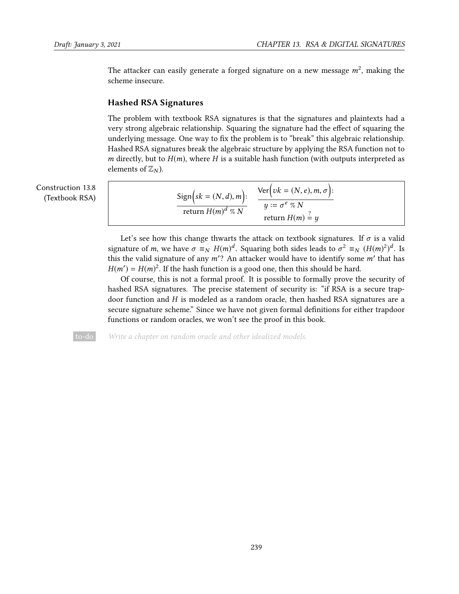The attacker can easily generate a forged signature on a new message  $m^2$ , making the scheme insecure scheme insecure.

#### Hashed RSA Signatures

The problem with textbook RSA signatures is that the signatures and plaintexts had a very strong algebraic relationship. Squaring the signature had the effect of squaring the underlying message. One way to fix the problem is to "break" this algebraic relationship. Hashed RSA signatures break the algebraic structure by applying the RSA function not to *m* directly, but to  $H(m)$ , where H is a suitable hash function (with outputs interpreted as elements of  $\mathbb{Z}_N$ ).

Construction 13.8 (Textbook RSA)

$$
\frac{\text{Sign}\left(sk = (N, d), m\right):}{\text{return } H(m)^d \ \% N} \quad \frac{\text{Ver}\left(vk = (N, e), m, \sigma\right):}{y := \sigma^e \ \% N}
$$
\n
$$
\text{return } H(m) \stackrel{?}{=} y
$$

Let's see how this change thwarts the attack on textbook signatures. If  $\sigma$  is a valid signature of m, we have  $\sigma \equiv_N H(m)^d$ . Squaring both sides leads to  $\sigma^2 \equiv_N (H(m)^2)^d$ . Is<br>this the volid signature of any m'? An attacker would have to identify some m' that has this the valid signature of any  $m'$ ? An attacker would have to identify some m' that has  $H(m') = H(m)^2$ . If the bash function is a good one, then this should be hard  $H(m') = H(m)^2$ . If the hash function is a good one, then this should be hard.<br>Of course, this is not a formal proof. It is possible to formally prove the

Of course, this is not a formal proof. It is possible to formally prove the security of hashed RSA signatures. The precise statement of security is: "if RSA is a secure trapdoor function and H is modeled as a random oracle, then hashed RSA signatures are a secure signature scheme." Since we have not given formal definitions for either trapdoor functions or random oracles, we won't see the proof in this book.

to-do Write a chapter on random oracle and other idealized models.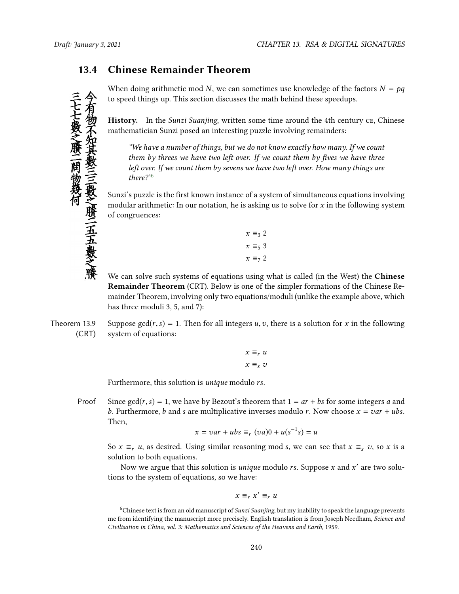# 13.4 Chinese Remainder Theorem

When doing arithmetic mod N, we can sometimes use knowledge of the factors  $N = pq$ to speed things up. This section discusses the math behind these speedups.

History. In the *Sunzi Suanjing*, written some time around the 4th century CE, Chinese mathematician Sunzi posed an interesting puzzle involving remainders:

"We have a number of things, but we do not know exactly how many. If we count them by threes we have two left over. If we count them by fives we have three left over. If we count them by sevens we have two left over. How many things are there?"[6](#page-13-0)

Sunzi's puzzle is the first known instance of a system of simultaneous equations involving modular arithmetic: In our notation, he is asking us to solve for  $x$  in the following system of congruences:

| $x \equiv_3 2$ |  |
|----------------|--|
| $x \equiv_5 3$ |  |
| $x \equiv_7 2$ |  |

We can solve such systems of equations using what is called (in the West) the Chinese Remainder Theorem (CRT). Below is one of the simpler formations of the Chinese Remainder Theorem, involving only two equations/moduli (unlike the example above, which has three moduli 3, 5, and 7):

Theorem 13.9 (CRT) Suppose  $gcd(r, s) = 1$ . Then for all integers u, v, there is a solution for x in the following system of equations:

$$
x \equiv_r u
$$

$$
x \equiv_s v
$$

Furthermore, this solution is unique modulo rs.

Proof Since  $gcd(r, s) = 1$ , we have by Bezout's theorem that  $1 = ar + bs$  for some integers a and b. Furthermore, b and s are multiplicative inverses modulo r. Now choose  $x = var + ubs$ . Then,

$$
x = var + ubs \equiv_r (va)0 + u(s^{-1}s) = u
$$

So  $x \equiv r u$ , as desired. Using similar reasoning mod s, we can see that  $x \equiv s v$ , so x is a solution to both equations.

Now we argue that this solution is *unique* modulo *rs*. Suppose *x* and  $x'$  are two solu-<br>s to the system of equations, so we have: tions to the system of equations, so we have:

$$
x \equiv_r x' \equiv_r u
$$

<span id="page-13-0"></span><sup>&</sup>lt;sup>6</sup>Chinese text is from an old manuscript of *Sunzi Suanjing*, but my inability to speak the language prevents me from identifying the manuscript more precisely. English translation is from Joseph Needham, Science and Civilisation in China, vol. 3: Mathematics and Sciences of the Heavens and Earth, 1959.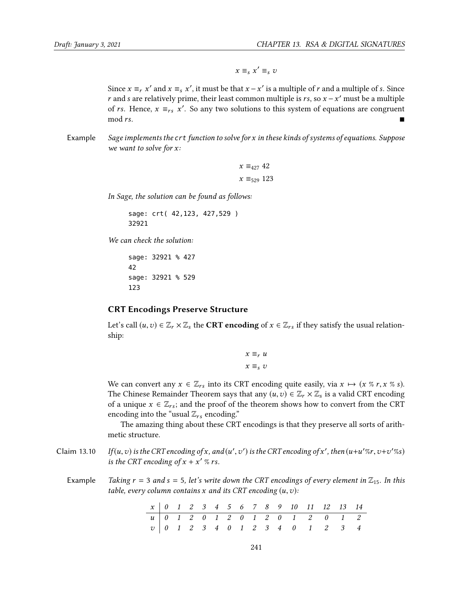$x \equiv_s x' \equiv_s v$ 

Since  $x \equiv_r x'$  and  $x \equiv_s x'$ , it must be that  $x - x'$  is a multiple of r and a multiple of s. Since r and s are relatively prime, their least common multiple is rs. so  $x - x'$  must be a multiple r and s are relatively prime, their least common multiple is rs, so  $x - x'$  must be a multiple<br>of rs. Hence  $x = x'$ . So any two solutions to this system of equations are congruent of rs. Hence,  $x \equiv_{rs} x'$ . So any two solutions to this system of equations are congruent mod rs  $\blacksquare$  mod rs.

Example Sage implements the  $crt$  function to solve for x in these kinds of systems of equations. Suppose we want to solve for x:

```
x \equiv_{427} 42x \equiv_{529} 123
```
In Sage, the solution can be found as follows:

sage: crt( 42,123, 427,529 ) 32921

We can check the solution:

sage: 32921 % 427 42 sage: 32921 % 529 123

#### CRT Encodings Preserve Structure

Let's call  $(u, v) \in \mathbb{Z}_r \times \mathbb{Z}_s$  the CRT encoding of  $x \in \mathbb{Z}_{rs}$  if they satisfy the usual relationship:

$$
x \equiv_r u
$$
  

$$
x \equiv_s v
$$

We can convert any  $x \in \mathbb{Z}_{rs}$  into its CRT encoding quite easily, via  $x \mapsto (x \times r, x \times s)$ . The Chinese Remainder Theorem says that any  $(u, v) \in \mathbb{Z}_r \times \mathbb{Z}_s$  is a valid CRT encoding<br>of a unique  $x \in \mathbb{Z}$  : and the proof of the theorem shows how to convert from the CPT of a unique  $x \in \mathbb{Z}_{rs}$ ; and the proof of the theorem shows how to convert from the CRT encoding into the "usual  $\mathbb{Z}_{rs}$  encoding."

<span id="page-14-0"></span>The amazing thing about these CRT encodings is that they preserve all sorts of arithmetic structure.

Claim 13.10 If  $(u, v)$  is the CRT encoding of x, and  $(u'$ <br>is the CPT encoding of  $x + x'$   $\%$  rs  $\ddot{\phantom{0}}$ ') is the CRT encoding of x', then  $(u+u'\%r, v+v'\%s)$ is the CRT encoding of  $x + x'$  % rs.

Example Taking  $r = 3$  and  $s = 5$ , let's write down the CRT encodings of every element in  $\mathbb{Z}_{15}$ . In this table, every column contains  $x$  and its CRT encoding  $(u, v)$ :

|  |  |  |  |  |  | $x \begin{bmatrix} 0 & 1 & 2 & 3 & 4 & 5 & 6 & 7 & 8 & 9 & 10 & 11 & 12 & 13 & 14 \end{bmatrix}$                                                                                                                                                                                                                                          |  |
|--|--|--|--|--|--|-------------------------------------------------------------------------------------------------------------------------------------------------------------------------------------------------------------------------------------------------------------------------------------------------------------------------------------------|--|
|  |  |  |  |  |  |                                                                                                                                                                                                                                                                                                                                           |  |
|  |  |  |  |  |  | $\begin{array}{c ccccccccccccccccccccccccccccccccccccccccc} u & 0 & 1 & 2 & 0 & 1 & 2 & 0 & 1 & 2 & 0 & 1 & 2 & 0 & 1 & 2 & 0 & 1 & 2 & 0 & 1 & 2 & 0 & 1 & 2 & 2 & 2 & 3 & 4 & 0 & 1 & 2 & 3 & 3 & 4 & 0 & 1 & 2 & 3 & 3 & 4 & 0 & 1 & 2 & 3 & 3 & 4 & 4 & 0 & 1 & 2 & 3 & 3 & 4 & 4 & 0 & 1 & 2 & 3 & 3 & 4 & 4 & 0 & 1 & 2 & 3 & 3 & $ |  |
|  |  |  |  |  |  |                                                                                                                                                                                                                                                                                                                                           |  |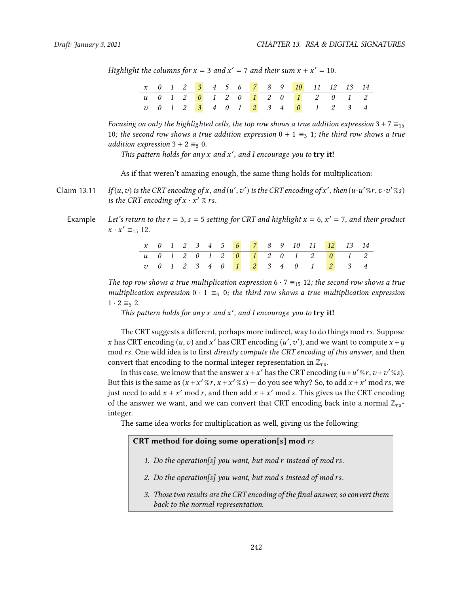Highlight the columns for  $x = 3$  and  $x' = 7$  and their sum  $x + x' = 10$ .

|  |  |  |  |  | $x   0 1 2 3 4 5 6 7 8 9 10 11 12 13 14$ |  |  |
|--|--|--|--|--|------------------------------------------|--|--|
|  |  |  |  |  |                                          |  |  |
|  |  |  |  |  |                                          |  |  |
|  |  |  |  |  |                                          |  |  |

Focusing on only the highlighted cells, the top row shows a true addition expression 3 + 7  $\equiv_{15}$ 10; the second row shows a true addition expression  $0 + 1 \equiv_3 1$ ; the third row shows a true addition expression  $3 + 2 \equiv_5 0$ .

This pattern holds for any  $x$  and  $x'$ , and I encourage you to **try it!** 

<span id="page-15-0"></span>As if that weren't amazing enough, the same thing holds for multiplication:

- Claim 13.11 If  $(u, v)$  is the CRT encoding of x, and  $(u'$ <br>is the CPT encoding of  $x : x' \, \text{or}$  $\ddot{\phantom{0}}$ ') is the CRT encoding of x', then  $(u \cdot u' \mathcal{C}r, v \cdot v' \mathcal{C} s)$ is the CRT encoding of  $x \cdot x' \%$  rs.
	- Example Let's return to the  $r = 3$ ,  $s = 5$  setting for CRT and highlight  $x = 6$ ,  $x' = 7$ , and their product  $x \cdot x' \equiv_{15} 12.$

|  |  |  |  |  |  |  | $x$ 0 1 2 3 4 5 6 7 8 9 10 11 12 13 14          |  |
|--|--|--|--|--|--|--|-------------------------------------------------|--|
|  |  |  |  |  |  |  | <u>u   0 1 2 0 1 2 0 1 2 0 1 2 0 1 2 0 1 2 </u> |  |
|  |  |  |  |  |  |  | $v$ 0 1 2 3 4 0 <mark>1 2</mark> 3 4 0 1 2 3 4  |  |
|  |  |  |  |  |  |  |                                                 |  |

The top row shows a true multiplication expression  $6 \cdot 7 \equiv_{15} 12$ ; the second row shows a true multiplication expression  $0 \cdot 1 \equiv_3 0$ ; the third row shows a true multiplication expression  $1 \cdot 2 \equiv_5 2$ .

This pattern holds for any  $x$  and  $x'$ , and I encourage you to **try it!** 

The CRT suggests a different, perhaps more indirect, way to do things mod rs. Suppose x has CRT encoding  $(u, v)$  and x' has CRT encoding  $(u', v')$ , and we want to compute  $x + y$ <br>mod rs. One wild idea is to first directly compute the CRT encoding of this answer, and then  $\frac{1}{2}$  mod rs. One wild idea is to first *directly compute the CRT encoding of this answer*, and then convert that encoding to the normal integer representation in  $\mathbb{Z}_{rs}$ .

In this case, we know that the answer  $x + x'$  has the CRT encoding  $(u + u''w, v + v''w)$ .<br>this is the same as  $(x + x'w, x + x'w)$  – do you see why? So, to add  $x + x'$  mod rs, we But this is the same as  $(x + x''' * r, x + x'' * s)$  — do you see why? So, to add  $x + x'$  mod rs, we<br>ivet need to add  $x + x'$  mod r, and then add  $x + x'$  mod s. This gives us the CPT encoding just need to add  $x + x'$  mod r, and then add  $x + x'$  mod s. This gives us the CRT encoding<br>of the answer we want, and we can convert that CRT encoding back into a normal  $\mathbb{Z}$ of the answer we want, and we can convert that CRT encoding back into a normal  $\mathbb{Z}_{rs}$ integer.

The same idea works for multiplication as well, giving us the following:

#### CRT method for doing some operation[s] mod  $rs$

- 1. Do the operation[s] you want, but mod r instead of mod rs.
- 2. Do the operation[s] you want, but mod s instead of mod rs.
- 3. Those two results are the CRT encoding of the final answer, so convert them back to the normal representation.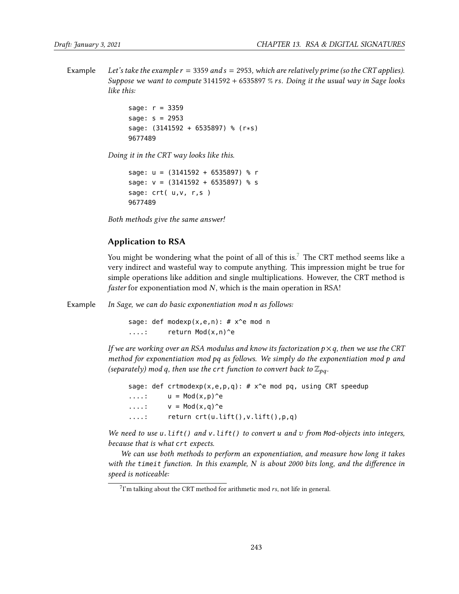Example Let's take the example  $r = 3359$  and  $s = 2953$ , which are relatively prime (so the CRT applies). Suppose we want to compute <sup>3141592</sup> <sup>+</sup> 6535897 % rs. Doing it the usual way in Sage looks like this:

```
sage: r = 3359
sage: s = 2953
sage: (3141592 + 6535897) % (r*s)
9677489
```
Doing it in the CRT way looks like this.

```
sage: u = (3141592 + 6535897) % r
sage: v = (3141592 + 6535897) % s
sage: crt( u, v, r, s)
9677489
```
Both methods give the same answer!

#### Application to RSA

You might be wondering what the point of all of this is.<sup>[7](#page-16-0)</sup> The CRT method seems like a very indirect and wasteful way to compute anything. This impression might be true for simple operations like addition and single multiplications. However, the CRT method is faster for exponentiation mod  $N$ , which is the main operation in RSA!

Example In Sage, we can do basic exponentiation mod n as follows:

sage: def modexp(x,e,n):  $# x^e$  mod n ....: return Mod(x,n)^e

If we are working over an RSA modulus and know its factorization  $p \times q$ , then we use the CRT method for exponentiation mod pq as follows. We simply do the exponentiation mod p and (separately) mod q, then use the crt function to convert back to  $\mathbb{Z}_{pq}$ .

```
sage: def crtmodexp(x,e,p,q): # x^e mod pq, using CRT speedup
\dots: u = Mod(x, p)<sup>^</sup>e
\dots: v = Mod(x,q)^{^{\wedge}e}....: return crt(u.lift(),v.lift(),p,q)
```
We need to use  $u$ . lift() and  $v$ . lift() to convert u and  $v$  from Mod-objects into integers, because that is what crt expects.

We can use both methods to perform an exponentiation, and measure how long it takes with the timeit function. In this example, N is about 2000 bits long, and the difference in speed is noticeable:

<span id="page-16-0"></span> $7$ I'm talking about the CRT method for arithmetic mod  $rs$ , not life in general.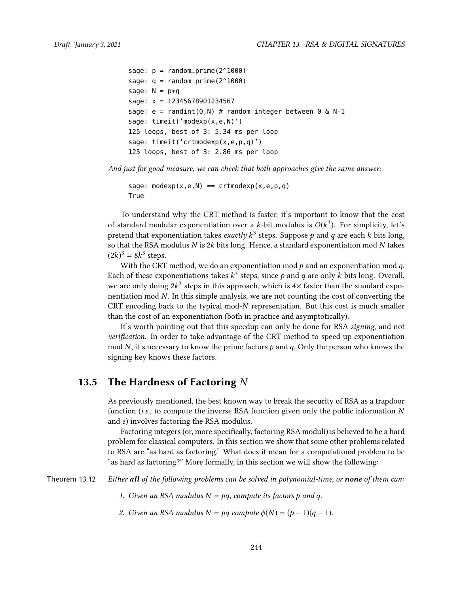```
sage: p = \text{random\_prime}(2^1000)sage: q = \text{random\_prime}(2^{\text{-}}1000)sage: N = p * qsage: x = 12345678901234567
sage: e = randint(0, N) # random integer between 0 \& N-1sage: timeit('modexp(x,e,N)')
125 loops, best of 3: 5.34 ms per loop
sage: timeit('crtmodexp(x,e,p,q)')
125 loops, best of 3: 2.86 ms per loop
```
And just for good measure, we can check that both approaches give the same answer:

```
sage: modexp(x,e,N) == crtmodexp(x,e,p,q)True
```
To understand why the CRT method is faster, it's important to know that the cost of standard modular exponentiation over a k-bit modulus is  $O(k^3)$ . For simplicity, let's<br>pretend that exponentiation takes exactly  $k^3$  steps. Suppose a and a are each k bits long pretend that exponentiation takes *exactly*  $k^3$  steps. Suppose  $p$  and  $q$  are each  $k$  bits long,<br>so that the PSA modulus  $N$  is 2k bits long. Hence, a standard exponentiation mod  $N$  takes so that the RSA modulus N is 2k bits long. Hence, a standard exponentiation mod N takes  $(2k)^3 = 8k^3$  steps.<br>With the CRT

With the CRT method, we do an exponentiation mod  $p$  and an exponentiation mod  $q$ . Each of these exponentiations takes  $k^3$  steps, since p and q are only k bits long. Overall,<br>we are only doing  $2k^3$  steps in this approach, which is  $4\times$  foster than the standard expowe are only doing  $2k^3$  steps in this approach, which is  $4\times$  faster than the standard exponentiation mod  $N$ . In this simple applyist, we are not counting the cost of converting the nentiation mod N. In this simple analysis, we are not counting the cost of converting the CRT encoding back to the typical mod-N representation. But this cost is much smaller than the cost of an exponentiation (both in practice and asymptotically).

It's worth pointing out that this speedup can only be done for RSA signing, and not verification. In order to take advantage of the CRT method to speed up exponentiation mod N, it's necessary to know the prime factors  $p$  and  $q$ . Only the person who knows the signing key knows these factors.

## 13.5 The Hardness of Factoring  $N$

As previously mentioned, the best known way to break the security of RSA as a trapdoor function (*i.e.*, to compute the inverse RSA function given only the public information  $N$ and e) involves factoring the RSA modulus.

Factoring integers (or, more specifically, factoring RSA moduli) is believed to be a hard problem for classical computers. In this section we show that some other problems related to RSA are "as hard as factoring." What does it mean for a computational problem to be "as hard as factoring?" More formally, in this section we will show the following:

Theorem 13.12 Either all of the following problems can be solved in polynomial-time, or none of them can:

- <span id="page-17-0"></span>1. Given an RSA modulus  $N = pq$ , compute its factors p and q.
- 2. Given an RSA modulus  $N = pq$  compute  $\phi(N) = (p-1)(q-1)$ .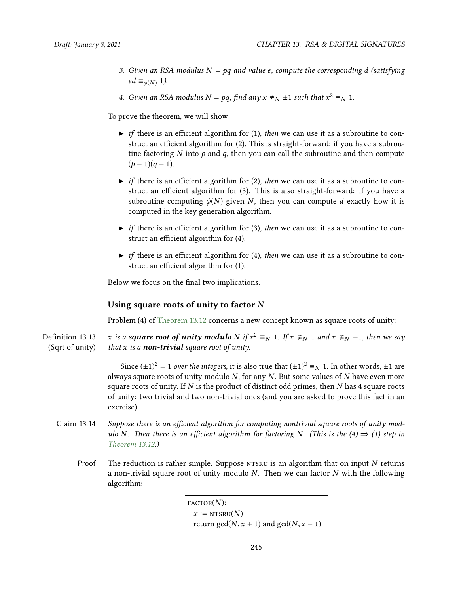- 3. Given an RSA modulus  $N = pq$  and value e, compute the corresponding d (satisfying  $ed \equiv_{\phi(N)} 1$ ).
- 4. Given an RSA modulus  $N = pq$ , find any  $x \not\equiv_N \pm 1$  such that  $x^2 \equiv_N 1$ .

To prove the theorem, we will show:

- $\triangleright$  if there is an efficient algorithm for (1), then we can use it as a subroutine to construct an efficient algorithm for (2). This is straight-forward: if you have a subroutine factoring  $N$  into  $p$  and  $q$ , then you can call the subroutine and then compute  $(p-1)(q-1)$ .
- $\triangleright$  if there is an efficient algorithm for (2), then we can use it as a subroutine to construct an efficient algorithm for  $(3)$ . This is also straight-forward: if you have a subroutine computing  $\phi(N)$  given N, then you can compute d exactly how it is computed in the key generation algorithm.
- $\triangleright$  if there is an efficient algorithm for (3), then we can use it as a subroutine to construct an efficient algorithm for  $(4)$ .
- $\triangleright$  if there is an efficient algorithm for (4), then we can use it as a subroutine to construct an efficient algorithm for (1).

Below we focus on the final two implications.

#### Using square roots of unity to factor  $N$

Problem (4) of [Theorem 13.12](#page-17-0) concerns a new concept known as square roots of unity:

Definition 13.13 (Sqrt of unity) x is a **square root of unity modulo** N if  $x^2 \equiv_N 1$ . If  $x \not\equiv_N 1$  and  $x \not\equiv_N -1$ , then we say that x is a **non-trivial** square root of unity. that  $x$  is a non-trivial square root of unity.

> Since  $(\pm 1)^2 = 1$  over the integers, it is also true that  $(\pm 1)^2 \equiv_N 1$ . In other words,  $\pm 1$  are always square roots of unity modulo  $N$ , for any  $N$ . But some values of  $N$  have even more square roots of unity. If  $N$  is the product of distinct odd primes, then  $N$  has 4 square roots of unity: two trivial and two non-trivial ones (and you are asked to prove this fact in an exercise).

- Claim 13.14 Suppose there is an efficient algorithm for computing nontrivial square roots of unity modulo N. Then there is an efficient algorithm for factoring N. (This is the  $(4) \Rightarrow (1)$  step in [Theorem 13.12.](#page-17-0))
	- Proof The reduction is rather simple. Suppose  $NTSRU$  is an algorithm that on input  $N$  returns a non-trivial square root of unity modulo  $N$ . Then we can factor  $N$  with the following algorithm:

 $\text{FACTOR}(N)$ :  $x := NTSRU(N)$ return gcd( $N, x + 1$ ) and gcd( $N, x - 1$ )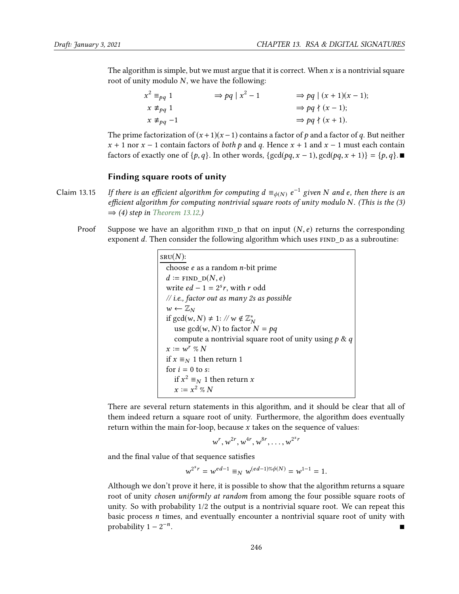The algorithm is simple, but we must argue that it is correct. When  $x$  is a nontrivial square root of unity modulo  $N$ , we have the following:

$$
x^{2} \equiv_{pq} 1 \qquad \Rightarrow pq \mid x^{2} - 1 \qquad \Rightarrow pq \mid (x + 1)(x - 1);
$$
  
\n
$$
x \not\equiv_{pq} 1 \qquad \Rightarrow pq \nmid (x - 1);
$$
  
\n
$$
x \not\equiv_{pq} -1 \qquad \Rightarrow pq \nmid (x + 1).
$$

The prime factorization of  $(x + 1)(x - 1)$  contains a factor of p and a factor of q. But neither  $x + 1$  nor  $x - 1$  contain factors of *both p* and *q*. Hence  $x + 1$  and  $x - 1$  must each contain factors of exactly one of  $\{p,q\}$ . In other words,  $\{gcd(pq, x - 1), gcd(pq, x + 1)\} = \{p,q\}$ .

#### Finding square roots of unity

- Claim 13.15 If there is an efficient algorithm for computing  $d \equiv_{\phi(N)} e^{-1}$  given N and e, then there is an efficient algorithm for computing nontrivial square roots of unity modulo N. (This is the (3) efficient algorithm for computing nontrivial square roots of unity modulo N. (This is the  $(3)$  $\Rightarrow$  (4) step in [Theorem 13.12.](#page-17-0))
	- Proof Suppose we have an algorithm  $FIND_D$  that on input  $(N, e)$  returns the corresponding exponent  $d$ . Then consider the following algorithm which uses  $FIND_D$  as a subroutine:

```
SRU(N):
  choose e as a random n-bit prime
  d \coloneqq \text{FIND} \ \mathrm{D}(N, e)write ed - 1 = 2<sup>s</sup>r, with r odd
  // i.e., factor out as many 2s as possible
  w \leftarrow \mathbb{Z}_Nif gcd(w, N) \neq 1: // w \notin \mathbb{Z}_{N}^{*}<br>use gcd(w, N) to factor
       use gcd(w, N) to factor N = pq<br>compute a pontrivial square ro
      compute a nontrivial square root of unity using p \& qx := w^r \mathcal{D} N<br>if x = w^{r+1}if x \equiv_N 1 then return 1
  for i = 0 to s:
       if x^2 \equiv_N 1 then return x<br>x := x^2 \propto Nx := x^2 \% N
```
There are several return statements in this algorithm, and it should be clear that all of them indeed return a square root of unity. Furthermore, the algorithm does eventually return within the main for-loop, because  $x$  takes on the sequence of values:

$$
w^r, w^{2r}, w^{4r}, w^{8r}, \ldots, w^{2^s r}
$$

and the final value of that sequence satisfies

$$
w^{2^{s}r} = w^{ed-1} \equiv_N w^{(ed-1)\% \phi(N)} = w^{1-1} = 1.
$$

Although we don't prove it here, it is possible to show that the algorithm returns a square root of unity *chosen uniformly at random* from among the four possible square roots of unity. So with probability 1/2 the output is a nontrivial square root. We can repeat this basic process  $n$  times, and eventually encounter a nontrivial square root of unity with probability  $1 - 2^{-n}$ . In the second control of the second control of the second control of the second control of the second control of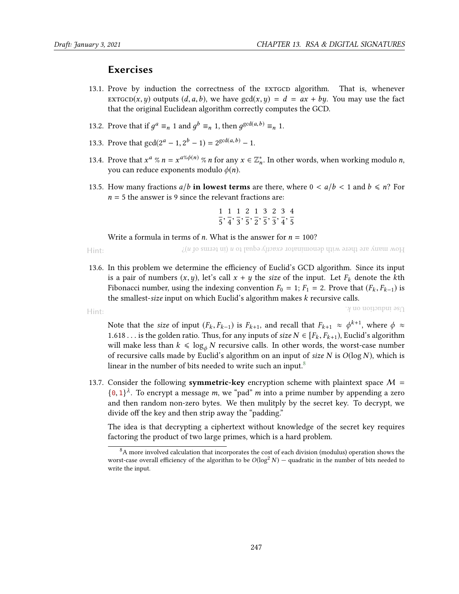Hint:

# **Exercises**

- 13.1. Prove by induction the correctness of the extgcp algorithm. That is, whenever extractor  $(x, y)$  outputs  $(d, a, b)$ , we have  $gcd(x, y) = d = ax + by$ . You may use the fact that the original Euclidean algorithm correctly computes the GCD.
- 13.2. Prove that if  $g^a \equiv_n 1$  and  $g^b \equiv_n 1$ , then  $g^{\gcd(a,b)} \equiv_n 1$ .
- 13.3. Prove that  $gcd(2^a 1, 2^b 1) = 2^{gcd(a, b)} 1$ .
- 13.4. Prove that  $x^a \% n = x^{a\% \phi(n)} \% n$  for any  $x \in \mathbb{Z}_n^*$ . In other words, when working modulo *n*, you can reduce expanents modulo  $\phi(n)$ . you can reduce exponents modulo  $\phi(n)$ .
- 13.5. How many fractions  $a/b$  in lowest terms are there, where  $0 < a/b < 1$  and  $b \le n$ ? For  $n = 5$  the answer is 9 since the relevant fractions are:

$$
\frac{1}{5}, \frac{1}{4}, \frac{1}{3}, \frac{2}{5}, \frac{1}{2}, \frac{3}{5}, \frac{2}{3}, \frac{3}{4}, \frac{4}{5}
$$

Write a formula in terms of *n*. What is the answer for  $n = 100$ ?

Hint:  $\chi(u)$  p suite the negree matrix conditional to  $u$  is equal to  $u$  if  $u$  is equal to  $u$  if  $u$  is an interesting to  $u$  if  $u$  is  $u$  is  $u$  is  $u$  is  $u$  is  $u$  is  $u$  is  $u$  is  $u$  is  $u$  is  $u$  is  $u$  is  $u$  is  $u$ 

13.6. In this problem we determine the efficiency of Euclid's GCD algorithm. Since its input is a pair of numbers  $(x, y)$ , let's call  $x + y$  the size of the input. Let  $F_k$  denote the kth Fibonacci number, using the indexing convention  $F_0 = 1$ ;  $F_1 = 2$ . Prove that  $(F_k, F_{k-1})$  is the smallest-size input on which Euclid's algorithm makes k recursive calls.

 $\gamma$  use induction on  $k$ .

Note that the *size* of input  $(F_k, F_{k-1})$  is  $F_{k+1}$ , and recall that  $F_{k+1} \approx \phi^{k+1}$ , where  $\phi \approx$ <br>1.618 is the golden ratio. Thus for any inputs of size  $N \in [F_k, F_{k-1}]$ . Euclid's algorithm 1.618... is the golden ratio. Thus, for any inputs of size  $N \in [F_k, F_{k+1})$ , Euclid's algorithm will make less than  $k \leq \log_{\phi} N$  recursive calls. In other words, the worst-case number of recursive calls made by Euclid's algorithm on an input of size  $N$  is  $O(log N)$ , which is linear in the number of bits needed to write such an input. $8$ 

13.7. Consider the following **symmetric-key** encryption scheme with plaintext space  $M =$  $\{0,1\}^{\lambda}$ . To encrypt a message *m*, we "pad" *m* into a prime number by appending a zero and then random non-zero by the sumplimity by the secret key. To decrypt we and then random non-zero bytes. We then mulitply by the secret key. To decrypt, we divide off the key and then strip away the "padding."

The idea is that decrypting a ciphertext without knowledge of the secret key requires factoring the product of two large primes, which is a hard problem.

<span id="page-20-0"></span> $8A$  more involved calculation that incorporates the cost of each division (modulus) operation shows the worst-case overall efficiency of the algorithm to be  $O(\log^2 N)$  – quadratic in the number of bits needed to write the input.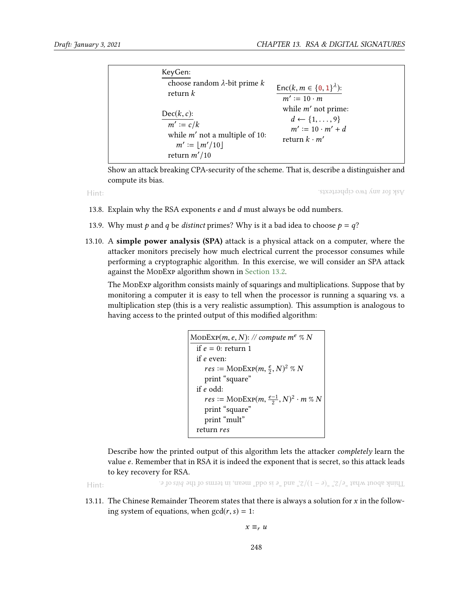| KeyGen:<br>choose random $\lambda$ -bit prime k<br>return $k$                                                | Enc(k, $m \in \{0, 1\}^{\lambda}$ ):<br>$m' \coloneq 10 \cdot m$                                           |
|--------------------------------------------------------------------------------------------------------------|------------------------------------------------------------------------------------------------------------|
| $Dec(k, c)$ :<br>$m' \coloneqq c/k$<br>while $m'$ not a multiple of 10:<br>$m' :=  m'/10 $<br>return $m'/10$ | while $m'$ not prime:<br>$d \leftarrow \{1, \ldots, 9\}$<br>$m' := 10 \cdot m' + d$<br>return $k \cdot m'$ |

Show an attack breaking CPA-security of the scheme. That is, describe a distinguisher and compute its bias.

Hint:

Ask for any two ciphertexts.

- 13.8. Explain why the RSA exponents  $e$  and  $d$  must always be odd numbers.
- <span id="page-21-0"></span>13.9. Why must p and q be distinct primes? Why is it a bad idea to choose  $p = q$ ?
- 13.10. A simple power analysis (SPA) attack is a physical attack on a computer, where the attacker monitors precisely how much electrical current the processor consumes while performing a cryptographic algorithm. In this exercise, we will consider an SPA attack against the MonExp algorithm shown in [Section 13.2.](#page-5-0)

The ModExp algorithm consists mainly of squarings and multiplications. Suppose that by monitoring a computer it is easy to tell when the processor is running a squaring vs. a multiplication step (this is a very realistic assumption). This assumption is analogous to having access to the printed output of this modified algorithm:

```
\text{MoDExp}(m, e, N): // compute m^e \%</math> Nif e = 0: return 1<br>if e even:
   if e even:<br>r e s :=res := \text{MoDEXP}(m, \frac{e}{2}, N)^2 \% N<br>print "square"
      print "square"
  if e odd:
       res \coloneqq \text{MoDEXP}(m, \frac{e-1}{2}, N)^2 \cdot m \text{ % } N<br>print "square"
      print "mult"
  return res
```
Describe how the printed output of this algorithm lets the attacker completely learn the value e. Remember that in RSA it is indeed the exponent that is secret, so this attack leads to key recovery for RSA.

Hint:

. e do stid shit bits is of the example of  $\frac{1}{2}$ ,  $\frac{1}{2}$  and  $\frac{1}{2}$  and  $\frac{1}{2}$   $\frac{1}{2}$ ,  $\frac{1}{2}$   $\frac{1}{2}$  and  $\frac{1}{2}$  and  $\frac{1}{2}$  and  $\frac{1}{2}$  and  $\frac{1}{2}$  and  $\frac{1}{2}$  and  $\frac{1}{2}$  and  $\frac{1}{2}$ 

13.11. The Chinese Remainder Theorem states that there is always a solution for  $x$  in the following system of equations, when  $gcd(r, s) = 1$ :

 $x \equiv_r u$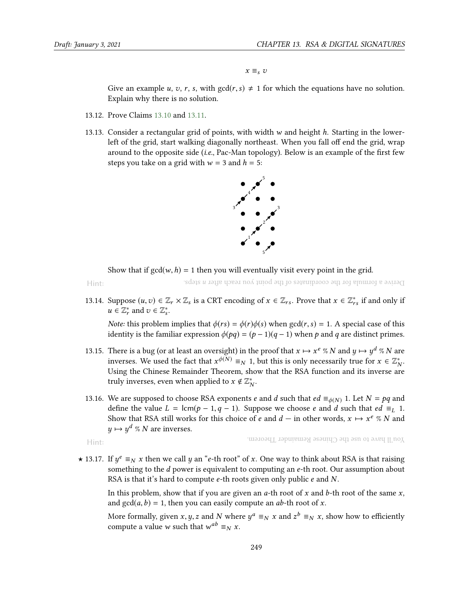$x \equiv_s v$ 

Give an example u, v, r, s, with  $gcd(r, s) \neq 1$  for which the equations have no solution. Explain why there is no solution.

- 13.12. Prove Claims [13.10](#page-14-0) and [13.11.](#page-15-0)
- 13.13. Consider a rectangular grid of points, with width  $w$  and height  $h$ . Starting in the lowerleft of the grid, start walking diagonally northeast. When you fall off end the grid, wrap around to the opposite side  $(i.e., Pac-Man topology)$ . Below is an example of the first few steps you take on a grid with  $w = 3$  and  $h = 5$ :



Show that if  $gcd(w, h) = 1$  then you will eventually visit every point in the grid.

Hint:

Derive a formula for the coordinates of the point you reach after n steps.

13.14. Suppose  $(u, v) \in \mathbb{Z}_r \times \mathbb{Z}_s$  is a CRT encoding of  $x \in \mathbb{Z}_{rs}$ . Prove that  $x \in \mathbb{Z}_{rs}^*$  if and only if  $u \in \mathbb{Z}^*$  and  $v \in \mathbb{Z}^*$  $u \in \mathbb{Z}_r^*$  and  $v \in \mathbb{Z}_s^*$ .

<span id="page-22-0"></span>*Note:* this problem implies that  $\phi(rs) = \phi(r)\phi(s)$  when  $gcd(r, s) = 1$ . A special case of this identity is the familiar expression  $\phi(pq) = (p-1)(q-1)$  when p and q are distinct primes.

- 13.15. There is a bug (or at least an oversight) in the proof that  $x \mapsto x^e \sqrt[n]{\ }$  and  $y \mapsto y^d \sqrt[n]{\ }$  are inverses. We used the fact that  $x^{\phi(N)} = x$  1, but this is only necessarily true for  $x \in \mathbb{Z}^*$ inverses. We used the fact that  $x^{\phi(N)} \equiv_N 1$ , but this is only necessarily true for  $x \in \mathbb{Z}_N^*$ .<br>Heing the Chinese Remainder Theorem, show that the RSA function and its inverse are N Using the Chinese Remainder Theorem, show that the RSA function and its inverse are truly inverses, even when applied to  $x \notin \mathbb{Z}_N^*$ .
- 13.16. We are supposed to choose RSA exponents *e* and *d* such that  $ed \equiv_{\phi(N)} 1$ . Let  $N = pq$  and define the value  $L = \text{lcm}(p - 1, q - 1)$ . Suppose we choose *e* and *d* such that *ed*  $\equiv_L 1$ . Show that RSA still works for this choice of e and  $d -$  in other words,  $x \mapsto x^e \% N$  and  $u \mapsto u^d \circ N$  are inverses  $y \mapsto y^d \n% N$  are inverses.

```
Hint:
```
You'll have to use the Chinese Remainder Theorem.

★ 13.17. If  $y^e \equiv_N x$  then we call y an "e-th root" of x. One way to think about RSA is that raising<br>something to the d nower is equivalent to computing an e-th root. Our assumption about something to the *d* power is equivalent to computing an *e*-th root. Our assumption about RSA is that it's hard to compute e-th roots given only public e and N.

In this problem, show that if you are given an  $a$ -th root of x and  $b$ -th root of the same x, and  $gcd(a, b) = 1$ , then you can easily compute an *ab*-th root of *x*.

More formally, given x, y, z and N where  $y^a \equiv_N x$  and  $z^b \equiv_N x$ , show how to efficiently compute a value  $w$  such that  $w^{ab} \equiv_N x$ compute a value *w* such that  $w^{ab} \equiv_N x$ .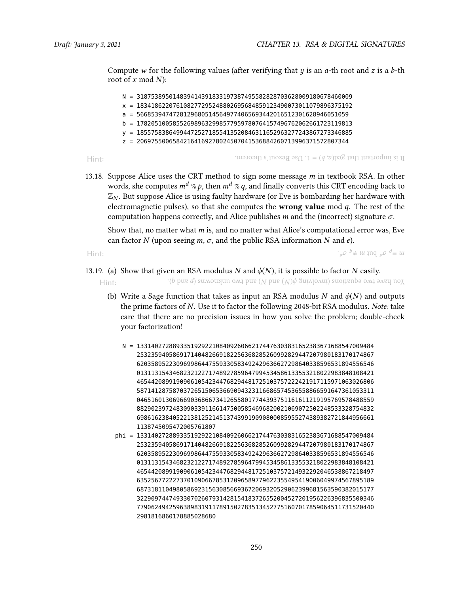Compute w for the following values (after verifying that  $y$  is an  $a$ -th root and  $z$  is a  $b$ -th root of x mod  $N$ :

N = 318753895014839414391833197387495582828703628009180678460009 x = 183418622076108277295248802695684859123490073011079896375192 a = 56685394747281296805145649774065693442016512301628946051059 b = 178205100585526989632998577959780764157496762062661723119813 y = 185575838649944725271855413520846311652963277243867273346885 z = 20697550065842164169278024507041536884260713996371572807344

Hint:

It is important that gea(a, b) = 1. Use Bezout's theorem.

13.18. Suppose Alice uses the CRT method to sign some message  $m$  in textbook RSA. In other words, she computes  $m^d \n\% p$ , then  $m^d \n\% q$ , and finally converts this CRT encoding back to  $\mathbb{Z}_N$ . But suppose Alice is using faulty hardware (or Eve is bombarding her hardware with electromagnetic pulses), so that she computes the **wrong value** mod  $q$ . The rest of the computation happens correctly, and Alice publishes m and the (incorrect) signature  $\sigma$ .

Show that, no matter what  $m$  is, and no matter what Alice's computational error was, Eve can factor N (upon seeing  $m$ ,  $\sigma$ , and the public RSA information N and e).

Hint: .

 $\cdot$ ,  $\rho$   $\phi \neq u$  and  $\varrho$   $\phi \equiv u$ 

- 13.19. (a) Show that given an RSA modulus N and  $\phi(N)$ , it is possible to factor N easily.
	- Hint:  $\cdot$ (b pue d) sumouxun omi pue (N pue (N) $\phi$  guivlovini) suoitenbə omi əvey no $X$ 
		- (b) Write a Sage function that takes as input an RSA modulus N and  $\phi(N)$  and outputs the prime factors of N. Use it to factor the following 2048-bit RSA modulus. Note: take care that there are no precision issues in how you solve the problem; double-check your factorization!
			- N = 133140272889335192922108409260662174476303831652383671688547009484 253235940586917140482669182256368285260992829447207980183170174867 620358952230969986447559330583492429636627298640338596531894556546 013113154346823212271748927859647994534586133553218022983848108421 465442089919090610542344768294481725103757222421917115971063026806 587141287587037265150653669094323116686574536558866591647361053311 046516013069669036866734126558017744393751161611219195769578488559 882902397248309033911661475005854696820021069072502248533328754832 698616238405221381252145137439919090800085955274389382721844956661 1138745095472005761807
			- phi = 133140272889335192922108409260662174476303831652383671688547009484 253235940586917140482669182256368285260992829447207980183170174867 620358952230969986447559330583492429636627298640338596531894556546 013113154346823212271748927859647994534586133553218022983848108421 465442089919090610542344768294481725103757214932292046538867218497 635256772227370109066785312096589779622355495419006049974567895189 687318110498058692315630856693672069320529062399681563590382015177 322909744749330702607931428154183726552004527201956226396835500346 779062494259638983191178915027835134527751607017859064511731520440 2981816860178885028680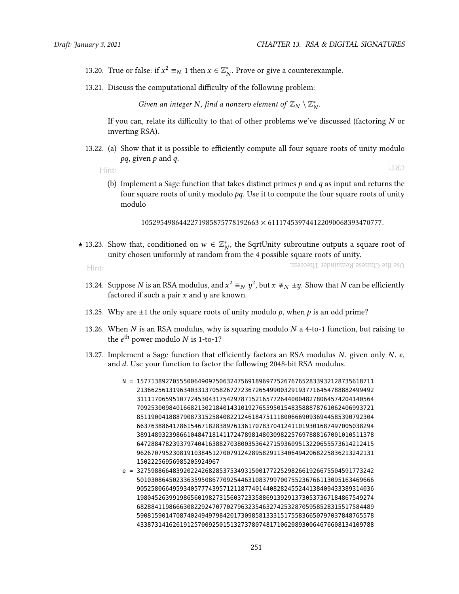- 13.20. True or false: if  $x^2 \equiv_N 1$  then  $x \in \mathbb{Z}_N^*$ . Prove or give a counterexample.
- 13.21. Discuss the computational difficulty of the following problem:

Given an integer N, find a nonzero element of  $\mathbb{Z}_N \setminus \mathbb{Z}_N^*$ .

If you can, relate its difficulty to that of other problems we've discussed (factoring  $N$  or inverting RSA).

13.22. (a) Show that it is possible to efficiently compute all four square roots of unity modulo  $pq$ , given  $p$  and  $q$ .

Hint:

CRT!

(b) Implement a Sage function that takes distinct primes  $p$  and  $q$  as input and returns the four square roots of unity modulo  $pq$ . Use it to compute the four square roots of unity modulo

<sup>1052954986442271985875778192663</sup> <sup>×</sup> <sup>611174539744122090068393470777</sup>.

★ 13.23. Show that, conditioned on  $w \in \mathbb{Z}_N^*$ , the SqrtUnity subroutine outputs a square root of unity chosen uniformly at random from the 4 possible square roots of unity unity chosen uniformly at random from the 4 possible square roots of unity.

Hint:

Use the Chinese Remainder Theorem.

- 13.24. Suppose *N* is an RSA modulus, and  $x^2 \equiv_N y^2$ , but  $x \not\equiv_N \pm y$ . Show that *N* can be efficiently fortored if such a pair *x* and *y* are known factored if such a pair  $x$  and  $y$  are known.
- 13.25. Why are  $\pm 1$  the only square roots of unity modulo p, when p is an odd prime?
- 13.26. When  $N$  is an RSA modulus, why is squaring modulo  $N$  a 4-to-1 function, but raising to the  $e^{\text{th}}$  power modulo N is 1-to-1?
- 13.27. Implement a Sage function that efficiently factors an RSA modulus  $N$ , given only  $N$ ,  $e$ , and d. Use your function to factor the following 2048-bit RSA modulus.
	- N = 157713892705550064909750632475691896977526767652833932128735618711 213662561319634033137058267272367265499003291937716454788882499492 311117065951077245304317542978715216577264400048278064574204140564 709253009840166821302184014310192765595015483588878761062406993721 851190041888790873152584082212461847511180066690936944585390792304 663763886417861546718283897613617078370412411019301687497005038294 389148932398661048471814117247898148030982257697888167001010511378 647288478239379740416388270380035364271593609513220655573614212415 962670795230819103845127007912428958291134064942068225836213242131 15022256956985205924967
	- e = 327598866483920224268285375349315001772252982661926675504591773242 501030864502336359508677092544631083799700755236766113095163469666 905258066495934057774395712118774014408282455244138409433389314036 198045263991986560198273156037233588691392913730537367184867549274 682884119866630822924707702796323546327425328705958528315517584489 590815901470874024949798420173098581333151755836650797037848765578 433873141626191257009250151327378074817106208930064676608134109788